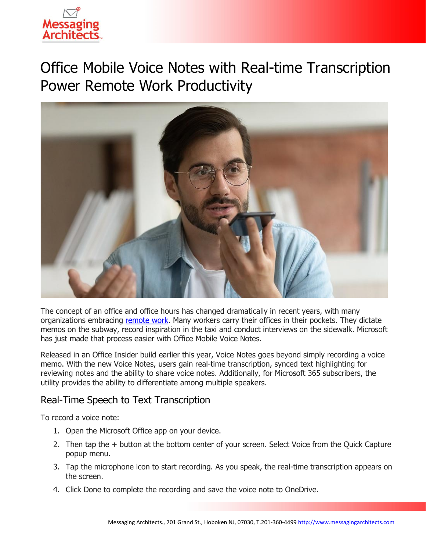

# Office Mobile Voice Notes with Real-time Transcription Power Remote Work Productivity



The concept of an office and office hours has changed dramatically in recent years, with many organizations embracing [remote work.](https://www.emazzanti.net/remote-worker-disengagement/) Many workers carry their offices in their pockets. They dictate memos on the subway, record inspiration in the taxi and conduct interviews on the sidewalk. Microsoft has just made that process easier with Office Mobile Voice Notes.

Released in an Office Insider build earlier this year, Voice Notes goes beyond simply recording a voice memo. With the new Voice Notes, users gain real-time transcription, synced text highlighting for reviewing notes and the ability to share voice notes. Additionally, for Microsoft 365 subscribers, the utility provides the ability to differentiate among multiple speakers.

# Real-Time Speech to Text Transcription

To record a voice note:

- 1. Open the Microsoft Office app on your device.
- 2. Then tap the + button at the bottom center of your screen. Select Voice from the Quick Capture popup menu.
- 3. Tap the microphone icon to start recording. As you speak, the real-time transcription appears on the screen.
- 4. Click Done to complete the recording and save the voice note to OneDrive.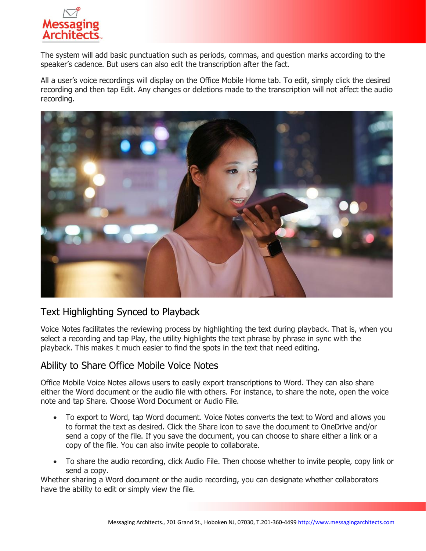

The system will add basic punctuation such as periods, commas, and question marks according to the speaker's cadence. But users can also edit the transcription after the fact.

All a user's voice recordings will display on the Office Mobile Home tab. To edit, simply click the desired recording and then tap Edit. Any changes or deletions made to the transcription will not affect the audio recording.



# Text Highlighting Synced to Playback

Voice Notes facilitates the reviewing process by highlighting the text during playback. That is, when you select a recording and tap Play, the utility highlights the text phrase by phrase in sync with the playback. This makes it much easier to find the spots in the text that need editing.

#### Ability to Share Office Mobile Voice Notes

Office Mobile Voice Notes allows users to easily export transcriptions to Word. They can also share either the Word document or the audio file with others. For instance, to share the note, open the voice note and tap Share. Choose Word Document or Audio File.

- To export to Word, tap Word document. Voice Notes converts the text to Word and allows you to format the text as desired. Click the Share icon to save the document to OneDrive and/or send a copy of the file. If you save the document, you can choose to share either a link or a copy of the file. You can also invite people to collaborate.
- To share the audio recording, click Audio File. Then choose whether to invite people, copy link or send a copy.

Whether sharing a Word document or the audio recording, you can designate whether collaborators have the ability to edit or simply view the file.